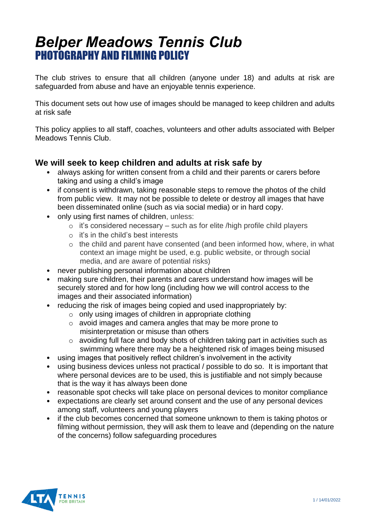## *Belper Meadows Tennis Club* PHOTOGRAPHY AND FILMING POLICY

The club strives to ensure that all children (anyone under 18) and adults at risk are safeguarded from abuse and have an enjoyable tennis experience.

This document sets out how use of images should be managed to keep children and adults at risk safe

This policy applies to all staff, coaches, volunteers and other adults associated with Belper Meadows Tennis Club.

## **We will seek to keep children and adults at risk safe by**

- always asking for written consent from a child and their parents or carers before taking and using a child's image
- if consent is withdrawn, taking reasonable steps to remove the photos of the child from public view. It may not be possible to delete or destroy all images that have been disseminated online (such as via social media) or in hard copy.
- only using first names of children, unless:
	- $\circ$  it's considered necessary such as for elite /high profile child players
	- o it's in the child's best interests
	- o the child and parent have consented (and been informed how, where, in what context an image might be used, e.g. public website, or through social media, and are aware of potential risks)
- never publishing personal information about children
- making sure children, their parents and carers understand how images will be securely stored and for how long (including how we will control access to the images and their associated information)
- reducing the risk of images being copied and used inappropriately by:
	- o only using images of children in appropriate clothing
	- o avoid images and camera angles that may be more prone to misinterpretation or misuse than others
	- o avoiding full face and body shots of children taking part in activities such as swimming where there may be a heightened risk of images being misused
- using images that positively reflect children's involvement in the activity
- using business devices unless not practical / possible to do so. It is important that where personal devices are to be used, this is justifiable and not simply because that is the way it has always been done
- reasonable spot checks will take place on personal devices to monitor compliance
- expectations are clearly set around consent and the use of any personal devices among staff, volunteers and young players
- if the club becomes concerned that someone unknown to them is taking photos or filming without permission, they will ask them to leave and (depending on the nature of the concerns) follow safeguarding procedures